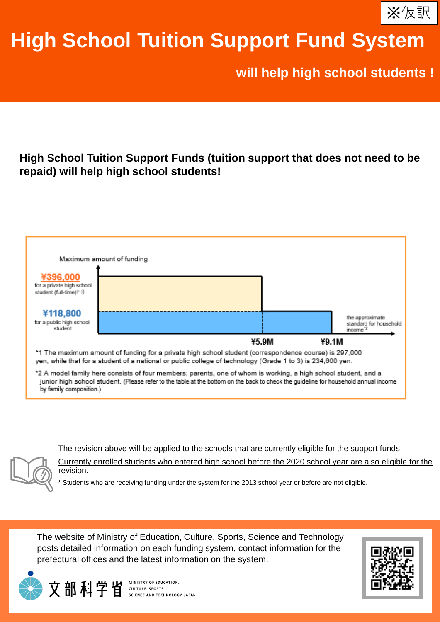

# **High School Tuition Support Fund System**

**will help high school students !**

### **High School Tuition Support Funds (tuition support that does not need to be repaid) will help high school students!**



The revision above will be applied to the schools that are currently eligible for the support funds.

Currently enrolled students who entered high school before the 2020 school year are also eligible for the revision.

Students who are receiving funding under the system for the 2013 school year or before are not eligible.

The website of Ministry of Education, Culture, Sports, Science and Technology posts detailed information on each funding system, contact information for the prefectural offices and the latest information on the system.